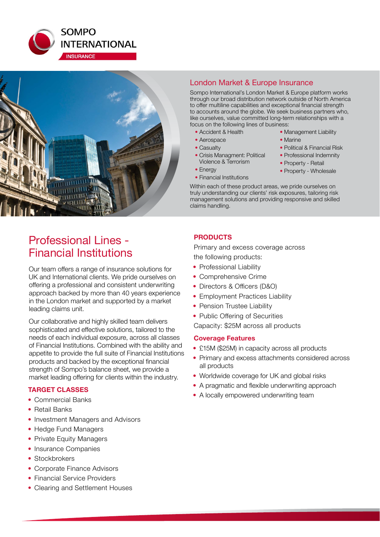



## London Market & Europe Insurance

Sompo International's London Market & Europe platform works through our broad distribution network outside of North America to offer multiline capabilities and exceptional financial strength to accounts around the globe. We seek business partners who, like ourselves, value committed long-term relationships with a focus on the following lines of business:

- Accident & Health
- Aerospace
- Casualty
- Crisis Managment: Political Violence & Terrorism
- Energy
- Financial Institutions
- Management Liability • Marine
- Political & Financial Risk
- Professional Indemnity
- Property Retail
- Property Wholesale

Within each of these product areas, we pride ourselves on truly understanding our clients' risk exposures, tailoring risk management solutions and providing responsive and skilled claims handling.

# Professional Lines - Financial Institutions

Our team offers a range of insurance solutions for UK and International clients. We pride ourselves on offering a professional and consistent underwriting approach backed by more than 40 years experience in the London market and supported by a market leading claims unit.

Our collaborative and highly skilled team delivers sophisticated and effective solutions, tailored to the needs of each individual exposure, across all classes of Financial Institutions. Combined with the ability and appetite to provide the full suite of Financial Institutions products and backed by the exceptional financial strength of Sompo's balance sheet, we provide a market leading offering for clients within the industry.

## **TARGET CLASSES**

- Commercial Banks
- Retail Banks
- Investment Managers and Advisors
- Hedge Fund Managers
- Private Equity Managers
- Insurance Companies
- Stockbrokers
- Corporate Finance Advisors
- Financial Service Providers
- Clearing and Settlement Houses

## **PRODUCTS**

Primary and excess coverage across the following products:

- Professional Liability
- Comprehensive Crime
- Directors & Officers (D&O)
- Employment Practices Liability
- Pension Trustee Liability
- Public Offering of Securities

Capacity: \$25M across all products

#### **Coverage Features**

- £15M (\$25M) in capacity across all products
- Primary and excess attachments considered across all products
- Worldwide coverage for UK and global risks
- A pragmatic and flexible underwriting approach
- A locally empowered underwriting team